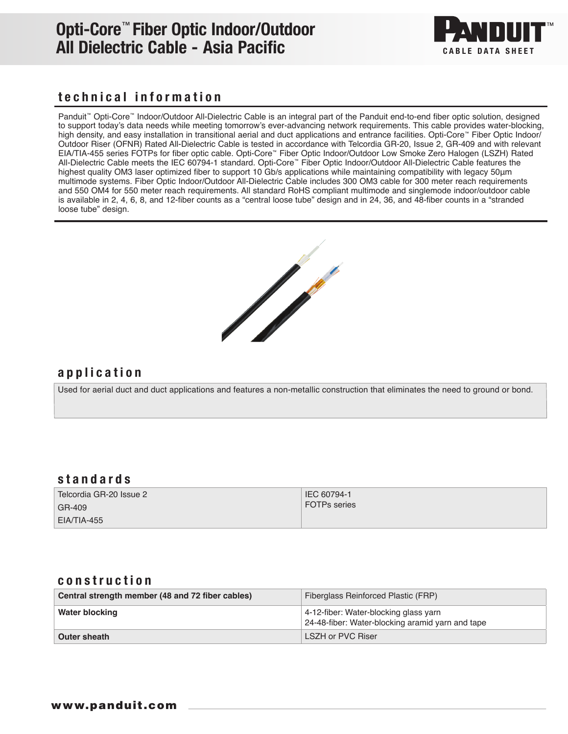## Opti-Core™ Fiber Optic Indoor/Outdoor All Dielectric Cable - Asia Pacific CABLE DATA SHEET



### technical information

Panduit<sup>™</sup> Opti-Core<sup>™</sup> Indoor/Outdoor All-Dielectric Cable is an integral part of the Panduit end-to-end fiber optic solution, designed to support today's data needs while meeting tomorrow's ever-advancing network requirements. This cable provides water-blocking, high density, and easy installation in transitional aerial and duct applications and entrance facilities. Opti-Core™ Fiber Optic Indoor/ Outdoor Riser (OFNR) Rated All-Dielectric Cable is tested in accordance with Telcordia GR-20, Issue 2, GR-409 and with relevant EIA/TIA-455 series FOTPs for fiber optic cable. Opti-Core™ Fiber Optic Indoor/Outdoor Low Smoke Zero Halogen (LSZH) Rated All-Dielectric Cable meets the IEC 60794-1 standard. Opti-Core™ Fiber Optic Indoor/Outdoor All-Dielectric Cable features the highest quality OM3 laser optimized fiber to support 10 Gb/s applications while maintaining compatibility with legacy 50μm multimode systems. Fiber Optic Indoor/Outdoor All-Dielectric Cable includes 300 OM3 cable for 300 meter reach requirements and 550 OM4 for 550 meter reach requirements. All standard RoHS compliant multimode and singlemode indoor/outdoor cable is available in 2, 4, 6, 8, and 12-fiber counts as a "central loose tube" design and in 24, 36, and 48-fiber counts in a "stranded loose tube" design.



### application

Used for aerial duct and duct applications and features a non-metallic construction that eliminates the need to ground or bond.

#### standards

| Telcordia GR-20 Issue 2 | IEC 60794-1         |
|-------------------------|---------------------|
| GR-409                  | <b>FOTPs series</b> |
| EIA/TIA-455             |                     |

#### construction

| Central strength member (48 and 72 fiber cables) | Fiberglass Reinforced Plastic (FRP)                                                       |  |
|--------------------------------------------------|-------------------------------------------------------------------------------------------|--|
| Water blocking                                   | 4-12-fiber: Water-blocking glass yarn<br>24-48-fiber: Water-blocking aramid yarn and tape |  |
| Outer sheath                                     | LSZH or PVC Riser                                                                         |  |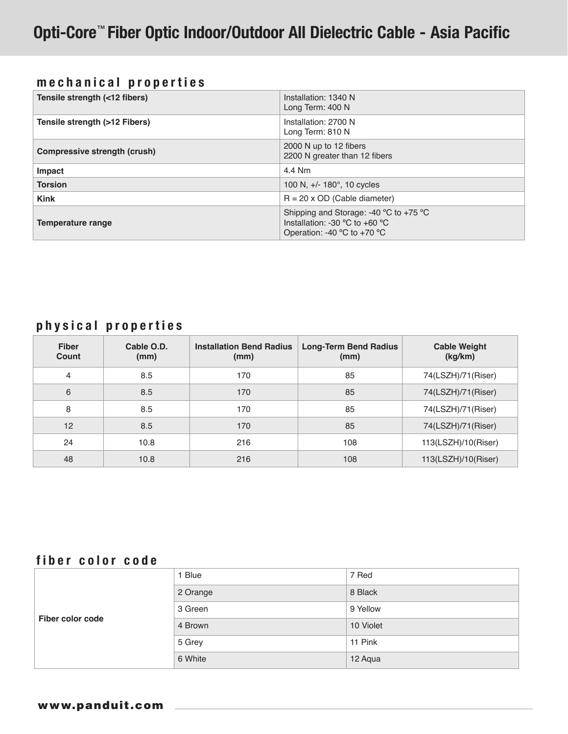### mechanical properties

| Tensile strength (<12 fibers) | Installation: 1340 N<br>Long Term: 400 N                                                                                                                            |  |
|-------------------------------|---------------------------------------------------------------------------------------------------------------------------------------------------------------------|--|
| Tensile strength (>12 Fibers) | Installation: 2700 N<br>Long Term: 810 N                                                                                                                            |  |
| Compressive strength (crush)  | 2000 N up to 12 fibers<br>2200 N greater than 12 fibers                                                                                                             |  |
| Impact                        | 4.4 Nm                                                                                                                                                              |  |
| <b>Torsion</b>                | 100 N, +/- 180°, 10 cycles                                                                                                                                          |  |
| <b>Kink</b>                   | $R = 20$ x OD (Cable diameter)                                                                                                                                      |  |
| Temperature range             | Shipping and Storage: -40 $^{\circ}$ C to +75 $^{\circ}$ C<br>Installation: -30 $^{\circ}$ C to +60 $^{\circ}$ C<br>Operation: -40 $^{\circ}$ C to +70 $^{\circ}$ C |  |

### physical properties

| <b>Fiber</b><br>Count | Cable O.D.<br>(mm) | <b>Installation Bend Radius</b><br>(mm) | <b>Long-Term Bend Radius</b><br>(mm) | <b>Cable Weight</b><br>(kg/km) |
|-----------------------|--------------------|-----------------------------------------|--------------------------------------|--------------------------------|
| 4                     | 8.5                | 170                                     | 85                                   | 74(LSZH)/71(Riser)             |
| 6                     | 8.5                | 170                                     | 85                                   | 74(LSZH)/71(Riser)             |
| 8                     | 8.5                | 170                                     | 85                                   | 74(LSZH)/71(Riser)             |
| 12                    | 8.5                | 170                                     | 85                                   | 74(LSZH)/71(Riser)             |
| 24                    | 10.8               | 216                                     | 108                                  | 113(LSZH)/10(Riser)            |
| 48                    | 10.8               | 216                                     | 108                                  | 113(LSZH)/10(Riser)            |

### fiber color code

| Fiber color code | 1 Blue   | 7 Red     |
|------------------|----------|-----------|
|                  | 2 Orange | 8 Black   |
|                  | 3 Green  | 9 Yellow  |
|                  | 4 Brown  | 10 Violet |
|                  | 5 Grey   | 11 Pink   |
|                  | 6 White  | 12 Aqua   |